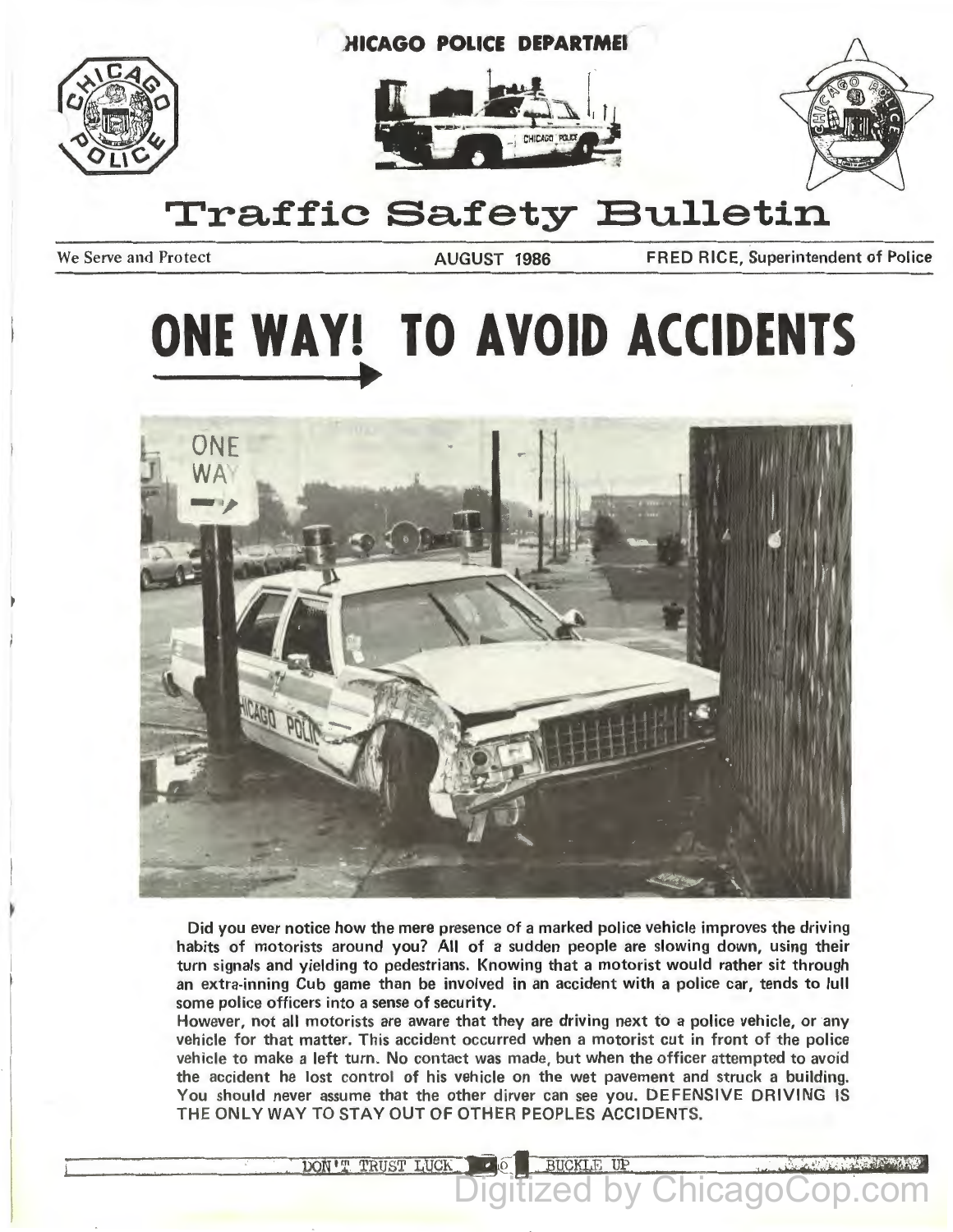







## **Traffic Safety Bulletin**

We Serve and Protect **AUGUST 1986** FRED RICE, Superintendent of Police

# **ONE WAY! TO AVOID ACCIDENTS**



Did you ever notice how the mere presence of a marked police vehicle improves the driving habits of motorists around you? All of a sudden people are slowing down, using their turn signals and yielding to pedestrians. Knowing that a motorist would rather sit through an extra-inning Cub game than be involved in an accident with a police car, tends to lull some police officers into a sense of security.

However, not all motorists are aware that they are driving next to a police vehicle, or any vehicle for that matter. This accident occurred when a motorist cut in front of the police vehicle to make a left turn. No contact was made, but when the officer attempted to avoid the accident he lost control of his vehicle on the wet pavement and struck a building. You should never assume that the other dirver can see you. DEFENSIVE DRIVING IS THE ONLY WAY TO STAY OUT OF OTHER PEOPLES ACCIDENTS.

**BUCKLE UP** 

DON'T TRUST LUCK

Chicago